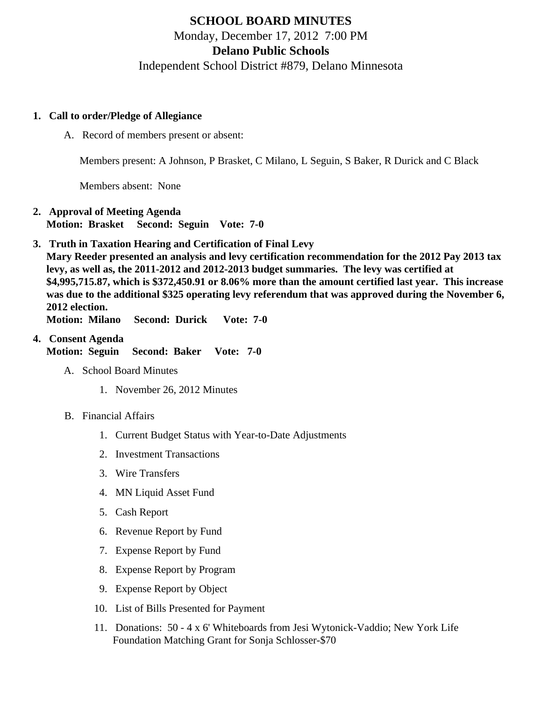# SCHOOL BOARD MINUTES Monday, December 17, 2012 7:00 PM Delano Public Schools Independent School District #879, Delano Minnesota

- 1. Call to order/Pledge of Allegiance
	- A. Record of members present or absent:

Members present: A Johnson, P Brasket, C Milano, L Seguin, S Baker, R Durick and C Black

Members absent: None

- 2. Approval of Meeting Agenda Motion: Brasket Second: Seguin Vote: 7-0
- 3. [Truth in Taxation](/docs/district/Business_Office/Truth_in_Taxation_Dec_12.pdf) Hearing and Certification of Final Levy Mary Reeder presented an analysis and levy certification recommendation for the 2012 Pay 2013 tax levy, as well as, the 2011-2012 and 2012-2013 budget summaries. The levy was certified at \$4,995,715.87, which is \$372,450.91 or 8.06% more than the amount certified last year. This increase was due to the additional \$325 operating levy referendum that was approved during the November 6, 2012 election.

Motion: Milano Second: Durick Vote: 7-0

- 4. Consent Agenda Motion: Seguin Second: Baker Vote: 7-0
	- A. School Board Minutes
		- 1. [November 26, 2012 Minut](/docs/district/Business_Office/11.26.12_Board_Minutes.pdf)es
	- B. Financial Affairs
		- 1. [Current Budget Statu](/docs/district/Business_Office/Budget_Report_Dec_2012.pdf)s ith Year-to-Date Adjustments
		- 2. [Investment Transactio](/docs/district/Business_Office/Investment_Schedule_2012-13.pdf )ns
		- 3. [Wire Transfer](/docs/district/Business_Office/Wire_Transfer.pdf)s
		- 4. [MN Liquid Asset Fund](/docs/district/Business_Office/Liq_AFY12.pdf )
		- 5. [Cash Repo](/docs/district/Business_Office/November_2012.pdf )rt
		- 6. [Revenue Report by Fu](/docs/district/Business_Office/SCHOOL_BOARD_REPORTS_-_REVENUE_BY_FUND_TOTAL__(Date__6_2013).pdf)nd
		- 7. [Expense Report by Fu](/docs/district/Business_Office/SCHOOL_BOARD_REPORTS_-_EXP_BY_FUND_TOTAL__(Date__6_2013).pdf)nd
		- 8. [Expense Report by Progra](/docs/district/Business_Office/SCHOOL_BOARD_REPORTS_-_EXPENDITURES_BY_PROGRAM__(Date__6_2013).pdf)m
		- 9. [Expense Report by Obje](/docs/district/Business_Office/SCHOOL_BOARD_REPORTS_-_EXPENDITURES_BY_OBJECT__(Date__6_2013).pdf)ct
		- 10. [List of Bills](/docs/district/Business_Office/Monthly_Bills_Paid.pdf) Presented for Payment
		- 11. Donations: 50 4 x 6' Whiteboards from Jesi Wytonick-Vaddio; New York Life Foundation Matching Grant for Sonja Schlosser-\$70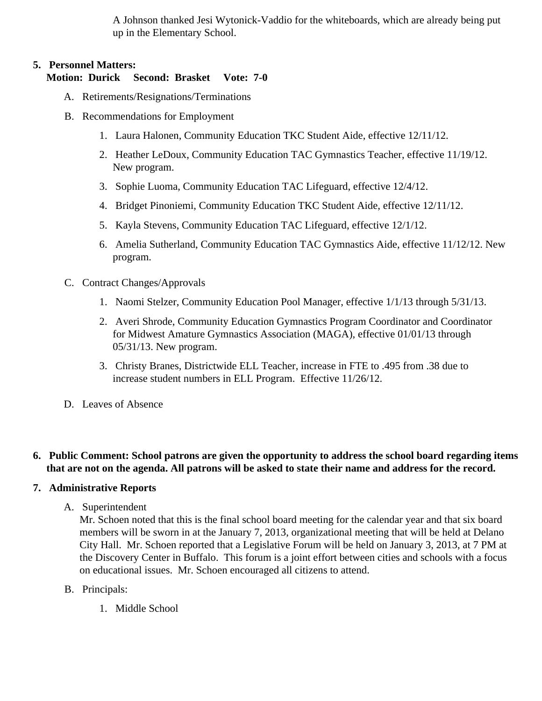A Johnson thanked Jesi Wytonick-Vaddio for the whiteboards, which are already being put up in the Elementary School.

## **5. Personnel Matters:**

#### **Motion: Durick Second: Brasket Vote: 7-0**

- A. Retirements/Resignations/Terminations
- B. Recommendations for Employment
	- 1. Laura Halonen, Community Education TKC Student Aide, effective 12/11/12.
	- 2. Heather LeDoux, Community Education TAC Gymnastics Teacher, effective 11/19/12. New program.
	- 3. Sophie Luoma, Community Education TAC Lifeguard, effective 12/4/12.
	- 4. Bridget Pinoniemi, Community Education TKC Student Aide, effective 12/11/12.
	- 5. Kayla Stevens, Community Education TAC Lifeguard, effective 12/1/12.
	- 6. Amelia Sutherland, Community Education TAC Gymnastics Aide, effective 11/12/12. New program.
- C. Contract Changes/Approvals
	- 1. Naomi Stelzer, Community Education Pool Manager, effective 1/1/13 through 5/31/13.
	- 2. Averi Shrode, Community Education Gymnastics Program Coordinator and Coordinator for Midwest Amature Gymnastics Association (MAGA), effective 01/01/13 through 05/31/13. New program.
	- 3. Christy Branes, Districtwide ELL Teacher, increase in FTE to .495 from .38 due to increase student numbers in ELL Program. Effective 11/26/12.
- D. Leaves of Absence

## **6. Public Comment: School patrons are given the opportunity to address the school board regarding items that are not on the agenda. All patrons will be asked to state their name and address for the record.**

## **7. Administrative Reports**

A. Superintendent

Mr. Schoen noted that this is the final school board meeting for the calendar year and that six board members will be sworn in at the January 7, 2013, organizational meeting that will be held at Delano City Hall. Mr. Schoen reported that a Legislative Forum will be held on January 3, 2013, at 7 PM at the Discovery Center in Buffalo. This forum is a joint effort between cities and schools with a focus on educational issues. Mr. Schoen encouraged all citizens to attend.

- B. Principals:
	- 1. Middle School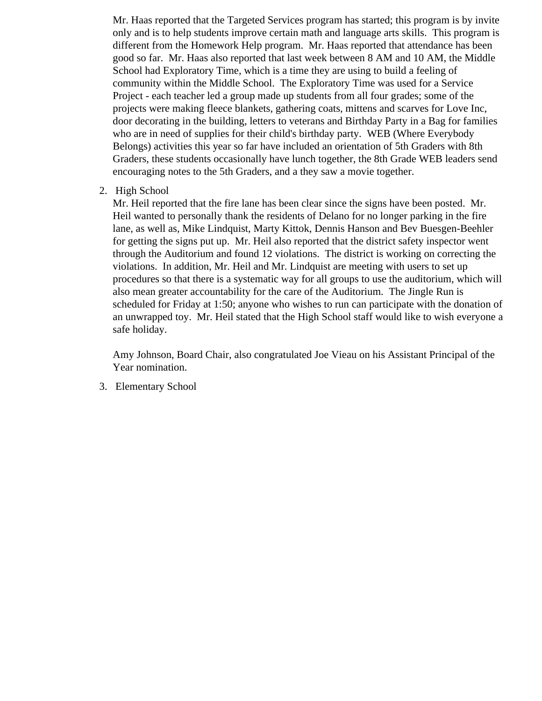Mr. Haas reported that the Targeted Services program has started; this program is by invite only and is to help students improve certain math and language arts skills. This program is different from the Homework Help program. Mr. Haas reported that attendance has been good so far. Mr. Haas also reported that last week between 8 AM and 10 AM, the Middle School had Exploratory Time, which is a time they are using to build a feeling of community within the Middle School. The Exploratory Time was used for a Service Project - each teacher led a group made up students from all four grades; some of the projects were making fleece blankets, gathering coats, mittens and scarves for Love Inc, door decorating in the building, letters to veterans and Birthday Party in a Bag for families who are in need of supplies for their child's birthday party. WEB (Where Everybody Belongs) activities this year so far have included an orientation of 5th Graders with 8th Graders, these students occasionally have lunch together, the 8th Grade WEB leaders send encouraging notes to the 5th Graders, and a they saw a movie together.

2. High School

Mr. Heil reported that the fire lane has been clear since the signs have been posted. Mr. Heil wanted to personally thank the residents of Delano for no longer parking in the fire lane, as well as, Mike Lindquist, Marty Kittok, Dennis Hanson and Bev Buesgen-Beehler for getting the signs put up. Mr. Heil also reported that the district safety inspector went through the Auditorium and found 12 violations. The district is working on correcting the violations. In addition, Mr. Heil and Mr. Lindquist are meeting with users to set up procedures so that there is a systematic way for all groups to use the auditorium, which will also mean greater accountability for the care of the Auditorium. The Jingle Run is scheduled for Friday at 1:50; anyone who wishes to run can participate with the donation of an unwrapped toy. Mr. Heil stated that the High School staff would like to wish everyone a safe holiday.

Amy Johnson, Board Chair, also congratulated Joe Vieau on his Assistant Principal of the Year nomination.

3. Elementary School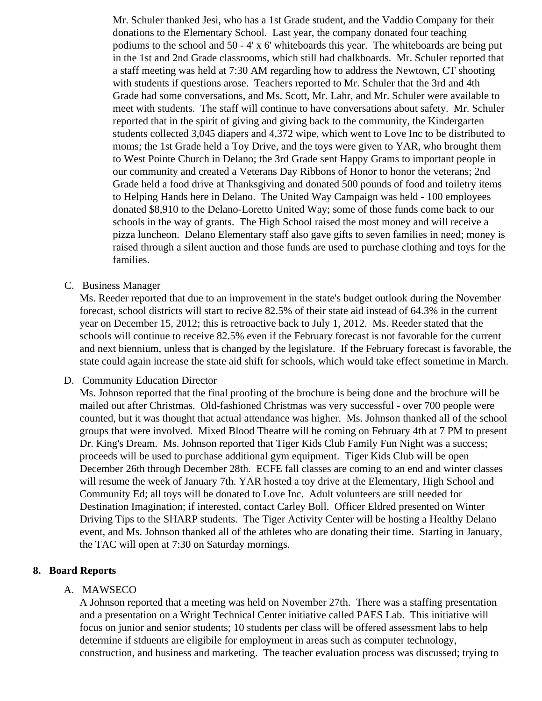Mr. Schuler thanked Jesi, who has a 1st Grade student, and the Vaddio Company for their donations to the Elementary School. Last year, the company donated four teaching podiums to the school and  $50 - 4' \times 6'$  whiteboards this year. The whiteboards are being pu in the 1st and 2nd Grade classrooms, which still had chalkboards. Mr. Schuler reported that a staff meeting was held at 7:30 AM regarding how to address the Newtown, CT shooting with students if questions arose. Teachers reported to Mr. Schuler that the 3rd and 4th Grade had some conversations, and Ms. Scott, Mr. Lahr, and Mr. Schuler were available to meet with students. The staff will continue to have conversations about safety. Mr. Schuler reported that in the spirit of giving and giving back to the community, the Kindergarten students collected 3,045 diapers and 4,372 wipe, which went to Love Inc to be distributed to moms; the 1st Grade held a Toy Drive, and the toys were given to YAR, who brought them to West Pointe Church in Delano; the 3rd Grade sent Happy Grams to important people in our community and created a Veterans Day Ribbons of Honor to honor the veterans; 2nd Grade held a food drive at Thanksgiving and donated 500 pounds of food and toiletry items to Helping Hands here in Delano. The United Way Campaign was held - 100 employees donated \$8,910 to the Delano-Loretto United Way; some of those funds come back to our schools in the way of grants. The High School raised the most money and will receive a pizza luncheon. Delano Elementary staff also gave gifts to seven families in need; money is raised through a silent auction and those funds are used to purchase clothing and toys for the families.

## C. Business Manager

Ms. Reeder reported that due to an improvement in the state's budget outlook during the Novembe forecast, school districts will start to recive 82.5% of their state aid instead of 64.3% in the current year on December 15, 2012; this is retroactive back to July 1, 2012. Ms. Reeder stated that the schools will continue to receive 82.5% even if the February forecast is not favorable for the current and next biennium, unless that is changed by the legislature. If the February forecast is favorable, state could again increase the state aid shift for schools, which would take effect sometime in Marc

## D. Community EducationDirector

Ms. Johnson reported that the final proofing of the brochure is being done and the brochure will be mailed out after Christmas. Old-fashioned Christmas was very successful - over 700 people were counted, but it was thought that actual attendance was higher. Ms. Johnson thanked all of the sch groups that were involved. Mixed Blood Theatre will be coming on February 4th at 7 PM to present Dr. King's Dream. Ms. Johnson reported that Tiger Kids Club Family Fun Night was a success; proceeds will be used to purchase additional gym equipment. Tiger Kids Club will be open December 26th through December 28th. ECFE fall classes are coming to an end and winter class will resume the week of January 7th. YAR hosted a toy drive at the Elementary, High School and Community Ed; all toys will be donated to Love Inc. Adult volunteers are still needed for Destination Imagination; if interested, contact Carley Boll. Officer Eldred presented on Winter Driving Tips to the SHARP students. The Tiger Activity Center will be hosting a Healthy Delano event, and Ms. Johnson thanked all of the athletes who are donating their time. Starting in January the TAC will open at 7:30 on Saturday mornings.

# 8. Board Reports

# A. MAWSECO

A Johnson reported that a meeting was held on November 27th. There was a staffing presentation and a presentation on a Wright Technical Center initiative called PAES Lab. This initiative will focus on junior and senior students; 10 students per class will be offered assessment labs to help determine if stduents are eligibile for employment in areas such as computer technology, construction, and business and marketing. The teacher evaluation process was discussed; trying to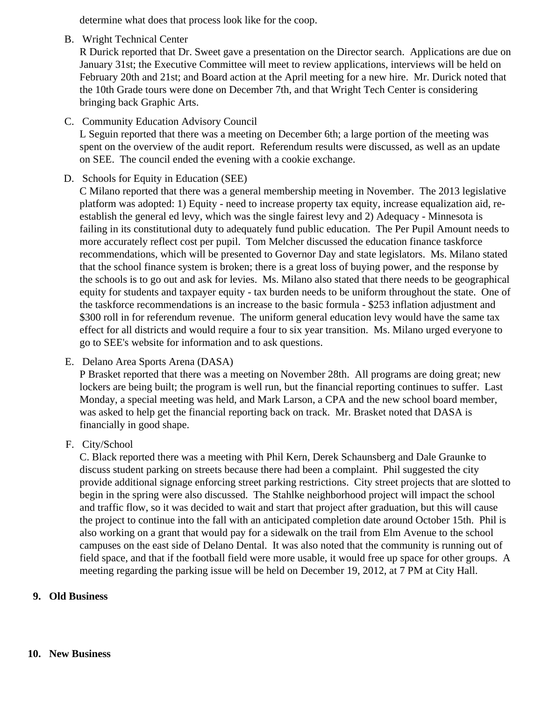determine what does that process look like for the coop.

B. Wright Technical Center

R Durick reported that Dr. Sweet gave a presentation on the Director search. Applications are due on January 31st; the Executive Committee will meet to review applications, interviews will be held on February 20th and 21st; and Board action at the April meeting for a new hire. Mr. Durick noted that the 10th Grade tours were done on December 7th, and that Wright Tech Center is considering bringing back Graphic Arts.

C. Community Education Advisory Council

L Seguin reported that there was a meeting on December 6th; a large portion of the meeting was spent on the overview of the audit report. Referendum results were discussed, as well as an update on SEE. The council ended the evening with a cookie exchange.

D. Schools for Equity in Education (SEE)

C Milano reported that there was a general membership meeting in November. The 2013 legislative platform was adopted: 1) Equity - need to increase property tax equity, increase equalization aid, reestablish the general ed levy, which was the single fairest levy and 2) Adequacy - Minnesota is failing in its constitutional duty to adequately fund public education. The Per Pupil Amount needs to more accurately reflect cost per pupil. Tom Melcher discussed the education finance taskforce recommendations, which will be presented to Governor Day and state legislators. Ms. Milano stated that the school finance system is broken; there is a great loss of buying power, and the response by the schools is to go out and ask for levies. Ms. Milano also stated that there needs to be geographical equity for students and taxpayer equity - tax burden needs to be uniform throughout the state. One of the taskforce recommendations is an increase to the basic formula - \$253 inflation adjustment and \$300 roll in for referendum revenue. The uniform general education levy would have the same tax effect for all districts and would require a four to six year transition. Ms. Milano urged everyone to go to SEE's website for information and to ask questions.

E. Delano Area Sports Arena (DASA)

P Brasket reported that there was a meeting on November 28th. All programs are doing great; new lockers are being built; the program is well run, but the financial reporting continues to suffer. Last Monday, a special meeting was held, and Mark Larson, a CPA and the new school board member, was asked to help get the financial reporting back on track. Mr. Brasket noted that DASA is financially in good shape.

F. City/School

C. Black reported there was a meeting with Phil Kern, Derek Schaunsberg and Dale Graunke to discuss student parking on streets because there had been a complaint. Phil suggested the city provide additional signage enforcing street parking restrictions. City street projects that are slotted to begin in the spring were also discussed. The Stahlke neighborhood project will impact the school and traffic flow, so it was decided to wait and start that project after graduation, but this will cause the project to continue into the fall with an anticipated completion date around October 15th. Phil is also working on a grant that would pay for a sidewalk on the trail from Elm Avenue to the school campuses on the east side of Delano Dental. It was also noted that the community is running out of field space, and that if the football field were more usable, it would free up space for other groups. A meeting regarding the parking issue will be held on December 19, 2012, at 7 PM at City Hall.

# **9. Old Business**